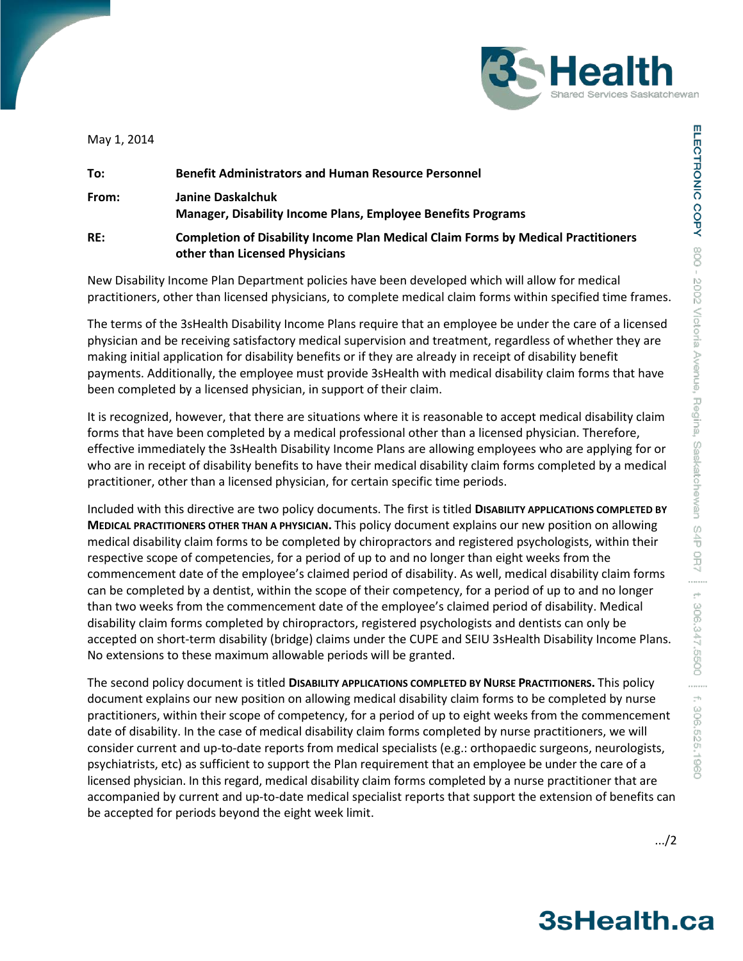

May 1, 2014

| To:   | <b>Benefit Administrators and Human Resource Personnel</b>                                                                 |
|-------|----------------------------------------------------------------------------------------------------------------------------|
| From: | Janine Daskalchuk<br><b>Manager, Disability Income Plans, Employee Benefits Programs</b>                                   |
| RE:   | <b>Completion of Disability Income Plan Medical Claim Forms by Medical Practitioners</b><br>other than Licensed Physicians |

New Disability Income Plan Department policies have been developed which will allow for medical practitioners, other than licensed physicians, to complete medical claim forms within specified time frames.

The terms of the 3sHealth Disability Income Plans require that an employee be under the care of a licensed physician and be receiving satisfactory medical supervision and treatment, regardless of whether they are making initial application for disability benefits or if they are already in receipt of disability benefit payments. Additionally, the employee must provide 3sHealth with medical disability claim forms that have been completed by a licensed physician, in support of their claim.

It is recognized, however, that there are situations where it is reasonable to accept medical disability claim forms that have been completed by a medical professional other than a licensed physician. Therefore, effective immediately the 3sHealth Disability Income Plans are allowing employees who are applying for or who are in receipt of disability benefits to have their medical disability claim forms completed by a medical practitioner, other than a licensed physician, for certain specific time periods.

Included with this directive are two policy documents. The first is titled **DISABILITY APPLICATIONS COMPLETED BY MEDICAL PRACTITIONERS OTHER THAN A PHYSICIAN.** This policy document explains our new position on allowing medical disability claim forms to be completed by chiropractors and registered psychologists, within their respective scope of competencies, for a period of up to and no longer than eight weeks from the commencement date of the employee's claimed period of disability. As well, medical disability claim forms can be completed by a dentist, within the scope of their competency, for a period of up to and no longer than two weeks from the commencement date of the employee's claimed period of disability. Medical disability claim forms completed by chiropractors, registered psychologists and dentists can only be accepted on short-term disability (bridge) claims under the CUPE and SEIU 3sHealth Disability Income Plans. No extensions to these maximum allowable periods will be granted.

The second policy document is titled **DISABILITY APPLICATIONS COMPLETED BY NURSE PRACTITIONERS.** This policy document explains our new position on allowing medical disability claim forms to be completed by nurse practitioners, within their scope of competency, for a period of up to eight weeks from the commencement date of disability. In the case of medical disability claim forms completed by nurse practitioners, we will consider current and up-to-date reports from medical specialists (e.g.: orthopaedic surgeons, neurologists, psychiatrists, etc) as sufficient to support the Plan requirement that an employee be under the care of a licensed physician. In this regard, medical disability claim forms completed by a nurse practitioner that are accompanied by current and up-to-date medical specialist reports that support the extension of benefits can be accepted for periods beyond the eight week limit.

3sHealth.ca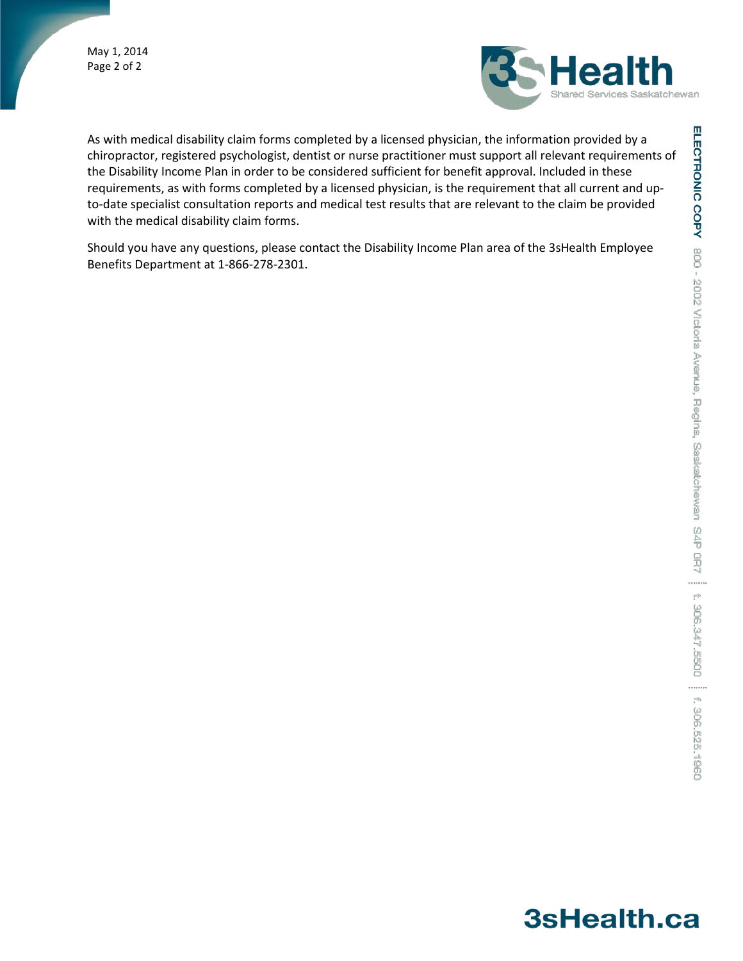May 1, 2014 Page 2 of 2



As with medical disability claim forms completed by a licensed physician, the information provided by a chiropractor, registered psychologist, dentist or nurse practitioner must support all relevant requirements of the Disability Income Plan in order to be considered sufficient for benefit approval. Included in these requirements, as with forms completed by a licensed physician, is the requirement that all current and upto-date specialist consultation reports and medical test results that are relevant to the claim be provided with the medical disability claim forms.

Should you have any questions, please contact the Disability Income Plan area of the 3sHealth Employee Benefits Department at 1-866-278-2301.

# 3sHealth.ca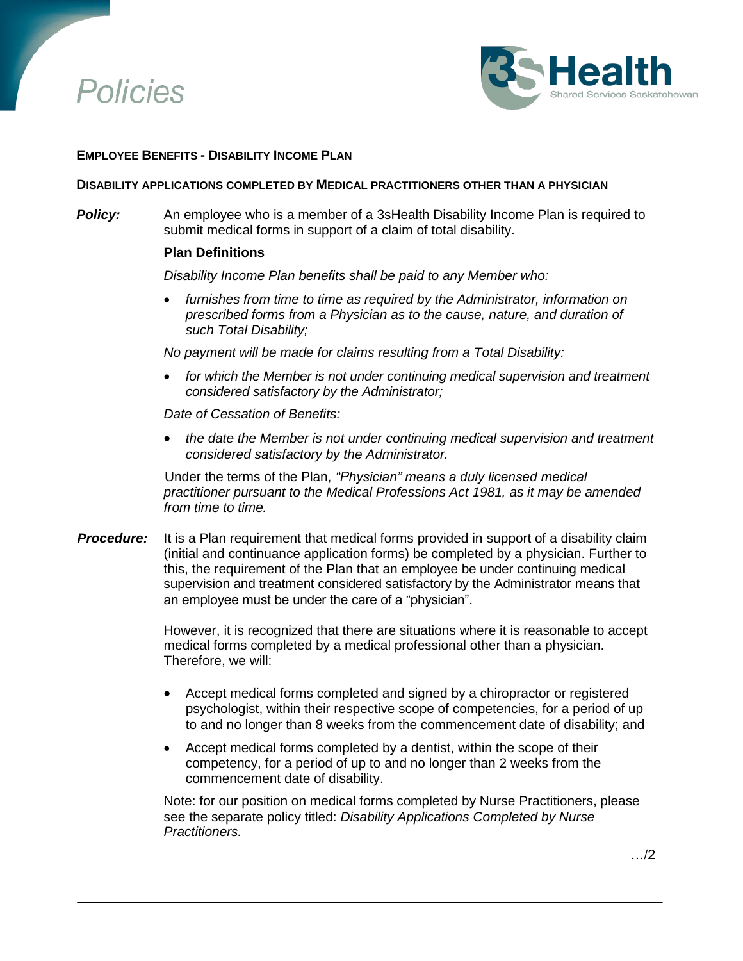



## **EMPLOYEE BENEFITS - DISABILITY INCOME PLAN**

#### **DISABILITY APPLICATIONS COMPLETED BY MEDICAL PRACTITIONERS OTHER THAN A PHYSICIAN**

**Policy:** An employee who is a member of a 3sHealth Disability Income Plan is required to submit medical forms in support of a claim of total disability.

### **Plan Definitions**

*Disability Income Plan benefits shall be paid to any Member who:*

 *furnishes from time to time as required by the Administrator, information on prescribed forms from a Physician as to the cause, nature, and duration of such Total Disability;* 

*No payment will be made for claims resulting from a Total Disability:* 

 *for which the Member is not under continuing medical supervision and treatment considered satisfactory by the Administrator;*

*Date of Cessation of Benefits:*

 *the date the Member is not under continuing medical supervision and treatment considered satisfactory by the Administrator.*

Under the terms of the Plan, *"Physician" means a duly licensed medical practitioner pursuant to the Medical Professions Act 1981, as it may be amended from time to time.*

**Procedure:** It is a Plan requirement that medical forms provided in support of a disability claim (initial and continuance application forms) be completed by a physician. Further to this, the requirement of the Plan that an employee be under continuing medical supervision and treatment considered satisfactory by the Administrator means that an employee must be under the care of a "physician".

> However, it is recognized that there are situations where it is reasonable to accept medical forms completed by a medical professional other than a physician. Therefore, we will:

- Accept medical forms completed and signed by a chiropractor or registered psychologist, within their respective scope of competencies, for a period of up to and no longer than 8 weeks from the commencement date of disability; and
- Accept medical forms completed by a dentist, within the scope of their competency, for a period of up to and no longer than 2 weeks from the commencement date of disability.

Note: for our position on medical forms completed by Nurse Practitioners, please see the separate policy titled: *Disability Applications Completed by Nurse Practitioners.*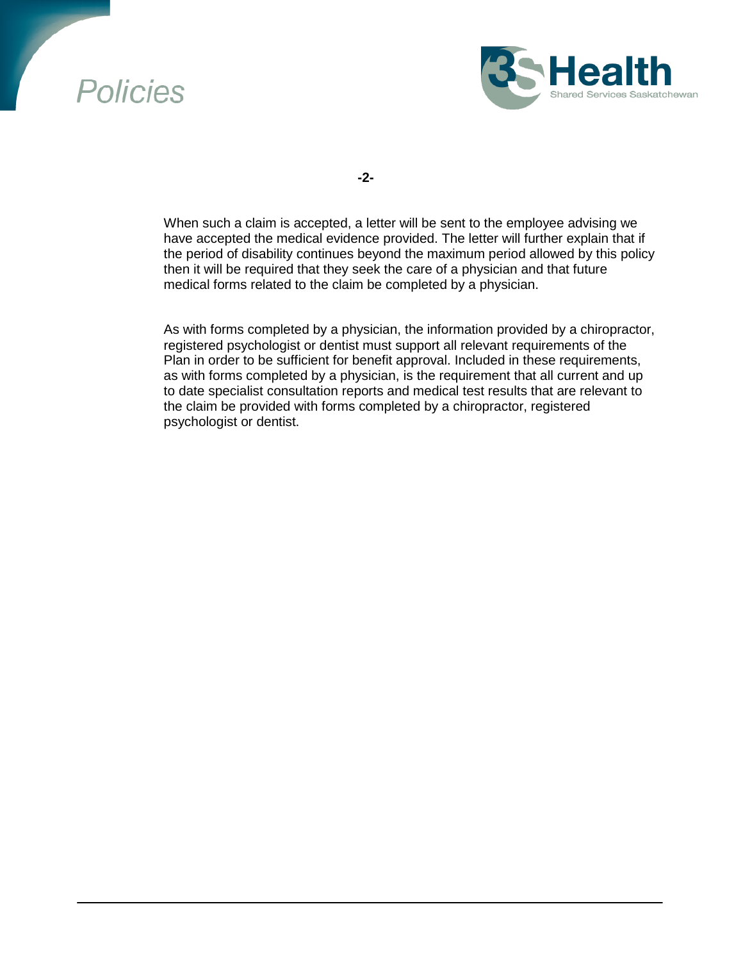# **Policies**



**-2-**

When such a claim is accepted, a letter will be sent to the employee advising we have accepted the medical evidence provided. The letter will further explain that if the period of disability continues beyond the maximum period allowed by this policy then it will be required that they seek the care of a physician and that future medical forms related to the claim be completed by a physician.

As with forms completed by a physician, the information provided by a chiropractor, registered psychologist or dentist must support all relevant requirements of the Plan in order to be sufficient for benefit approval. Included in these requirements, as with forms completed by a physician, is the requirement that all current and up to date specialist consultation reports and medical test results that are relevant to the claim be provided with forms completed by a chiropractor, registered psychologist or dentist.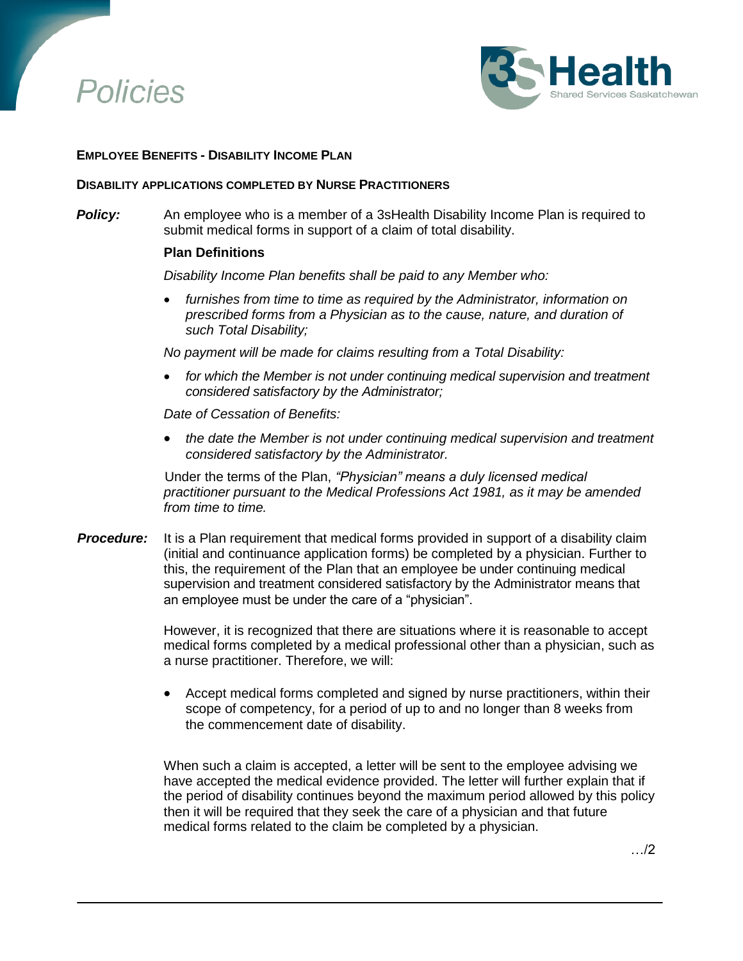



## **EMPLOYEE BENEFITS - DISABILITY INCOME PLAN**

#### **DISABILITY APPLICATIONS COMPLETED BY NURSE PRACTITIONERS**

**Policy:** An employee who is a member of a 3sHealth Disability Income Plan is required to submit medical forms in support of a claim of total disability.

### **Plan Definitions**

*Disability Income Plan benefits shall be paid to any Member who:*

 *furnishes from time to time as required by the Administrator, information on prescribed forms from a Physician as to the cause, nature, and duration of such Total Disability;* 

*No payment will be made for claims resulting from a Total Disability:* 

 *for which the Member is not under continuing medical supervision and treatment considered satisfactory by the Administrator;*

*Date of Cessation of Benefits:*

 *the date the Member is not under continuing medical supervision and treatment considered satisfactory by the Administrator.*

Under the terms of the Plan, *"Physician" means a duly licensed medical practitioner pursuant to the Medical Professions Act 1981, as it may be amended from time to time.*

**Procedure:** It is a Plan requirement that medical forms provided in support of a disability claim (initial and continuance application forms) be completed by a physician. Further to this, the requirement of the Plan that an employee be under continuing medical supervision and treatment considered satisfactory by the Administrator means that an employee must be under the care of a "physician".

> However, it is recognized that there are situations where it is reasonable to accept medical forms completed by a medical professional other than a physician, such as a nurse practitioner. Therefore, we will:

> Accept medical forms completed and signed by nurse practitioners, within their scope of competency, for a period of up to and no longer than 8 weeks from the commencement date of disability.

> When such a claim is accepted, a letter will be sent to the employee advising we have accepted the medical evidence provided. The letter will further explain that if the period of disability continues beyond the maximum period allowed by this policy then it will be required that they seek the care of a physician and that future medical forms related to the claim be completed by a physician.

> > …/2